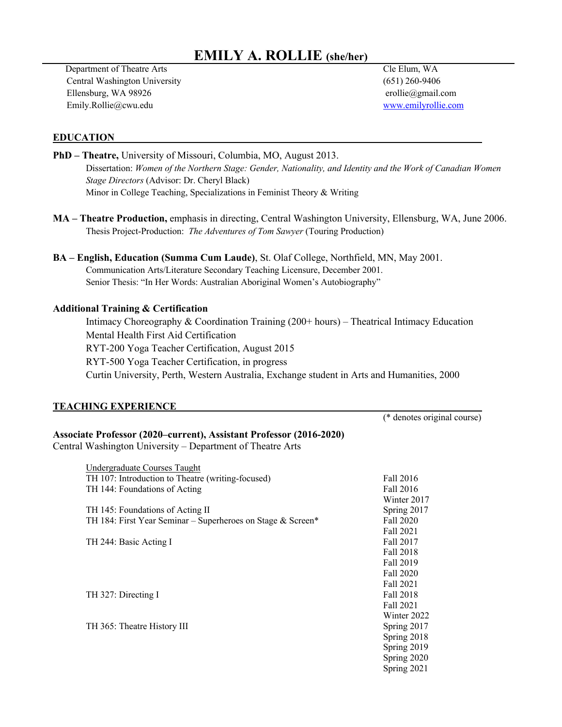### **EMILY A. ROLLIE (she/her)**

 Department of Theatre Arts Cle Elum, WA Central Washington University (651) 260-9406 Ellensburg, WA 98926 erollie@gmail.com Emily.Rollie@cwu.edu www.emilyrollie.com

(\* denotes original course)

#### **EDUCATION**

**PhD – Theatre,** University of Missouri, Columbia, MO, August 2013. Dissertation: *Women of the Northern Stage: Gender, Nationality, and Identity and the Work of Canadian Women Stage Directors* (Advisor: Dr. Cheryl Black) Minor in College Teaching, Specializations in Feminist Theory & Writing

**MA – Theatre Production,** emphasis in directing, Central Washington University, Ellensburg, WA, June 2006. Thesis Project-Production: *The Adventures of Tom Sawyer* (Touring Production)

**BA – English, Education (Summa Cum Laude)**, St. Olaf College, Northfield, MN, May 2001. Communication Arts/Literature Secondary Teaching Licensure, December 2001. Senior Thesis: "In Her Words: Australian Aboriginal Women's Autobiography"

#### **Additional Training & Certification**

Intimacy Choreography & Coordination Training (200+ hours) – Theatrical Intimacy Education Mental Health First Aid Certification RYT-200 Yoga Teacher Certification, August 2015 RYT-500 Yoga Teacher Certification, in progress Curtin University, Perth, Western Australia, Exchange student in Arts and Humanities, 2000

### **TEACHING EXPERIENCE**

### **Associate Professor (2020–current), Assistant Professor (2016-2020)**

Central Washington University – Department of Theatre Arts

| Undergraduate Courses Taught                                |             |
|-------------------------------------------------------------|-------------|
| TH 107: Introduction to Theatre (writing-focused)           | Fall 2016   |
| TH 144: Foundations of Acting                               | Fall 2016   |
|                                                             | Winter 2017 |
| TH 145: Foundations of Acting II                            | Spring 2017 |
| TH 184: First Year Seminar – Superheroes on Stage & Screen* | Fall 2020   |
|                                                             | Fall 2021   |
| TH 244: Basic Acting I                                      | Fall 2017   |
|                                                             | Fall 2018   |
|                                                             | Fall 2019   |
|                                                             | Fall 2020   |
|                                                             | Fall 2021   |
| TH 327: Directing I                                         | Fall 2018   |
|                                                             | Fall 2021   |
|                                                             | Winter 2022 |
| TH 365: Theatre History III                                 | Spring 2017 |
|                                                             | Spring 2018 |
|                                                             | Spring 2019 |
|                                                             | Spring 2020 |
|                                                             | Spring 2021 |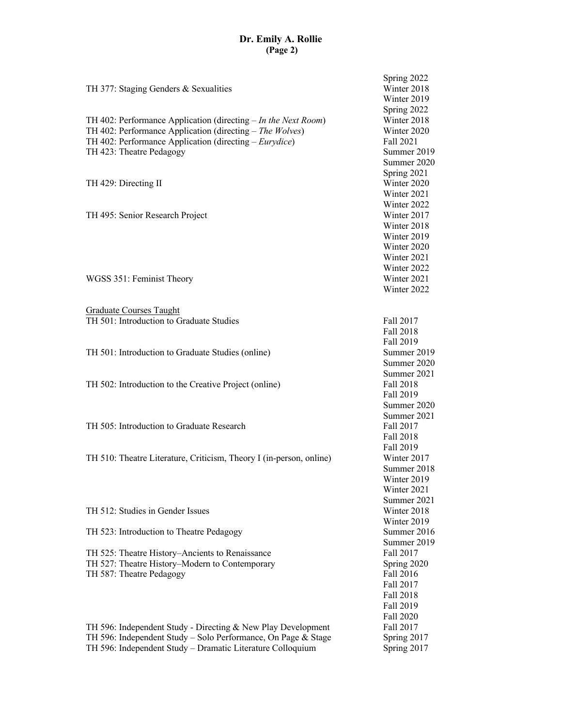## **Dr. Emily A. Rollie (Page 2)**

| TH 377: Staging Genders & Sexualities<br>TH 402: Performance Application (directing $- In the Next Room$ )<br>TH 402: Performance Application (directing $-$ The Wolves)<br>TH 402: Performance Application (directing – Eurydice)<br>TH 423: Theatre Pedagogy<br>TH 429: Directing II | Spring 2022<br>Winter 2018<br>Winter 2019<br>Spring 2022<br>Winter 2018<br>Winter 2020<br>Fall 2021<br>Summer 2019<br>Summer 2020<br>Spring 2021<br>Winter 2020<br>Winter 2021<br>Winter 2022 |
|----------------------------------------------------------------------------------------------------------------------------------------------------------------------------------------------------------------------------------------------------------------------------------------|-----------------------------------------------------------------------------------------------------------------------------------------------------------------------------------------------|
| TH 495: Senior Research Project                                                                                                                                                                                                                                                        | Winter 2017<br>Winter 2018<br>Winter 2019<br>Winter 2020<br>Winter 2021<br>Winter 2022                                                                                                        |
| WGSS 351: Feminist Theory                                                                                                                                                                                                                                                              | Winter 2021<br>Winter 2022                                                                                                                                                                    |
| <b>Graduate Courses Taught</b>                                                                                                                                                                                                                                                         |                                                                                                                                                                                               |
| TH 501: Introduction to Graduate Studies                                                                                                                                                                                                                                               | Fall 2017<br>Fall 2018                                                                                                                                                                        |
| TH 501: Introduction to Graduate Studies (online)                                                                                                                                                                                                                                      | Fall 2019<br>Summer 2019<br>Summer 2020                                                                                                                                                       |
| TH 502: Introduction to the Creative Project (online)                                                                                                                                                                                                                                  | Summer 2021<br>Fall 2018<br>Fall 2019<br>Summer 2020                                                                                                                                          |
| TH 505: Introduction to Graduate Research                                                                                                                                                                                                                                              | Summer 2021<br>Fall 2017<br>Fall 2018<br>Fall 2019                                                                                                                                            |
| TH 510: Theatre Literature, Criticism, Theory I (in-person, online)                                                                                                                                                                                                                    | Winter 2017<br>Summer 2018<br>Winter 2019<br>Winter 2021<br>Summer 2021                                                                                                                       |
| TH 512: Studies in Gender Issues                                                                                                                                                                                                                                                       | Winter 2018                                                                                                                                                                                   |
| TH 523: Introduction to Theatre Pedagogy                                                                                                                                                                                                                                               | Winter 2019<br>Summer 2016                                                                                                                                                                    |
| TH 525: Theatre History-Ancients to Renaissance<br>TH 527: Theatre History-Modern to Contemporary<br>TH 587: Theatre Pedagogy                                                                                                                                                          | Summer 2019<br>Fall 2017<br>Spring 2020<br>Fall 2016<br>Fall 2017<br><b>Fall 2018</b><br>Fall 2019                                                                                            |
| TH 596: Independent Study - Directing & New Play Development<br>TH 596: Independent Study - Solo Performance, On Page & Stage<br>TH 596: Independent Study - Dramatic Literature Colloquium                                                                                            | Fall 2020<br>Fall 2017<br>Spring 2017<br>Spring 2017                                                                                                                                          |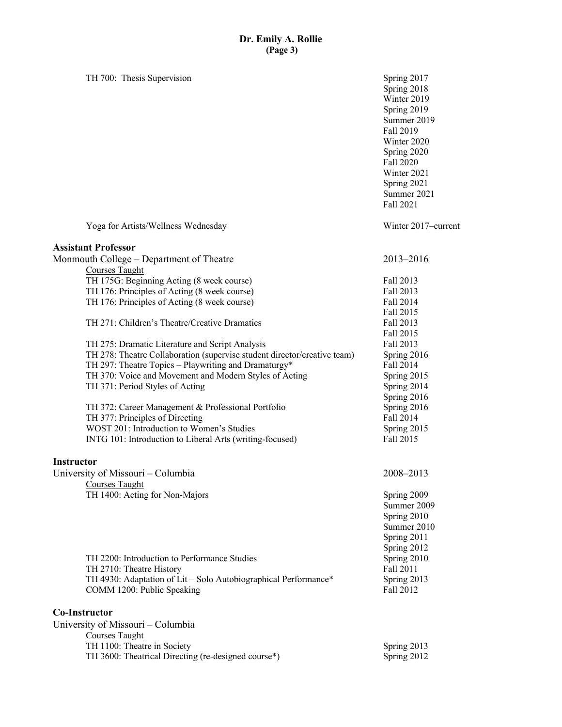TH 700: Thesis Supervision Spring 2017 Spring 2018 Winter 2019 Spring 2019 Summer 2019 Fall 2019 Winter 2020 Spring 2020 Fall 2020 Winter 2021 Spring 2021 Summer 2021 Fall 2021 Yoga for Artists/Wellness Wednesday Winter 2017–current **Assistant Professor** Monmouth College – Department of Theatre 2013–2016 Courses Taught TH 175G: Beginning Acting (8 week course) Fall 2013 TH 176: Principles of Acting (8 week course) Fall 2013 TH 176: Principles of Acting (8 week course) Fall 2014 Fall 2015 TH 271: Children's Theatre/Creative Dramatics Fall 2013 Fall 2015 TH 275: Dramatic Literature and Script Analysis Fall 2013 TH 278: Theatre Collaboration (supervise student director/creative team) Spring 2016 TH 297: Theatre Topics – Playwriting and Dramaturgy\* Fall 2014 TH 370: Voice and Movement and Modern Styles of Acting Spring 2015 TH 371: Period Styles of Acting Spring 2014 Spring 2016 TH 372: Career Management & Professional Portfolio Spring 2016 TH 377: Principles of Directing Fall 2014 WOST 201: Introduction to Women's Studies Spring 2015 INTG 101: Introduction to Liberal Arts (writing-focused) Fall 2015 **Instructor** University of Missouri – Columbia 2008–2013 Courses Taught TH 1400: Acting for Non-Majors Spring 2009 Summer 2009 Spring 2010 Summer 2010 Spring 2011 Spring 2012 TH 2200: Introduction to Performance Studies Spring 2010 TH 2710: Theatre History Fall 2011 TH 4930: Adaptation of Lit – Solo Autobiographical Performance\* Spring 2013 COMM 1200: Public Speaking Fall 2012 **Co-Instructor** University of Missouri – Columbia Courses Taught TH 1100: Theatre in Society Spring 2013 TH 3600: Theatrical Directing (re-designed course\*) Spring 2012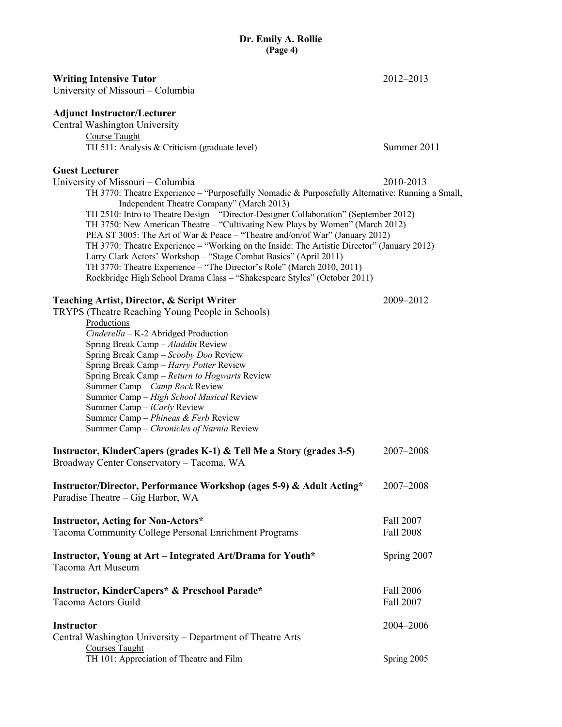#### **Writing Intensive Tutor** 2012–2013

University of Missouri – Columbia

#### **Adjunct Instructor/Lecturer**

Central Washington University Course Taught TH 511: Analysis & Criticism (graduate level) Summer 2011

#### **Guest Lecturer**

University of Missouri – Columbia 2010-2013 TH 3770: Theatre Experience – "Purposefully Nomadic & Purposefully Alternative: Running a Small, Independent Theatre Company" (March 2013) TH 2510: Intro to Theatre Design – "Director-Designer Collaboration" (September 2012) TH 3750: New American Theatre – "Cultivating New Plays by Women" (March 2012) PEA ST 3005: The Art of War & Peace – "Theatre and/on/of War" (January 2012) TH 3770: Theatre Experience – "Working on the Inside: The Artistic Director" (January 2012) Larry Clark Actors' Workshop – "Stage Combat Basics" (April 2011) TH 3770: Theatre Experience – "The Director's Role" (March 2010, 2011) Rockbridge High School Drama Class – "Shakespeare Styles" (October 2011)

#### **Teaching Artist, Director, & Script Writer** 2009–2012

TRYPS (Theatre Reaching Young People in Schools)

Productions *Cinderella* – K-2 Abridged Production Spring Break Camp – *Aladdin* Review Spring Break Camp – *Scooby Doo* Review Spring Break Camp – *Harry Potter* Review Spring Break Camp – *Return to Hogwarts* Review Summer Camp – *Camp Rock* Review Summer Camp – *High School Musical* Review Summer Camp – *iCarly* Review Summer Camp – *Phineas & Ferb* Review Summer Camp – *Chronicles of Narnia* Review

| Instructor, KinderCapers (grades K-1) & Tell Me a Story (grades 3-5)<br>Broadway Center Conservatory - Tacoma, WA | 2007–2008              |
|-------------------------------------------------------------------------------------------------------------------|------------------------|
| Instructor/Director, Performance Workshop (ages 5-9) & Adult Acting*<br>Paradise Theatre – Gig Harbor, WA         | 2007–2008              |
| <b>Instructor, Acting for Non-Actors*</b><br>Tacoma Community College Personal Enrichment Programs                | Fall 2007<br>Fall 2008 |
| Instructor, Young at Art - Integrated Art/Drama for Youth*<br>Tacoma Art Museum                                   | Spring 2007            |
| <b>Instructor, KinderCapers* &amp; Preschool Parade*</b><br>Tacoma Actors Guild                                   | Fall 2006<br>Fall 2007 |
| <b>Instructor</b><br>Central Washington University – Department of Theatre Arts<br>Courses Taught                 | 2004–2006              |
| TH 101: Appreciation of Theatre and Film                                                                          | Spring 2005            |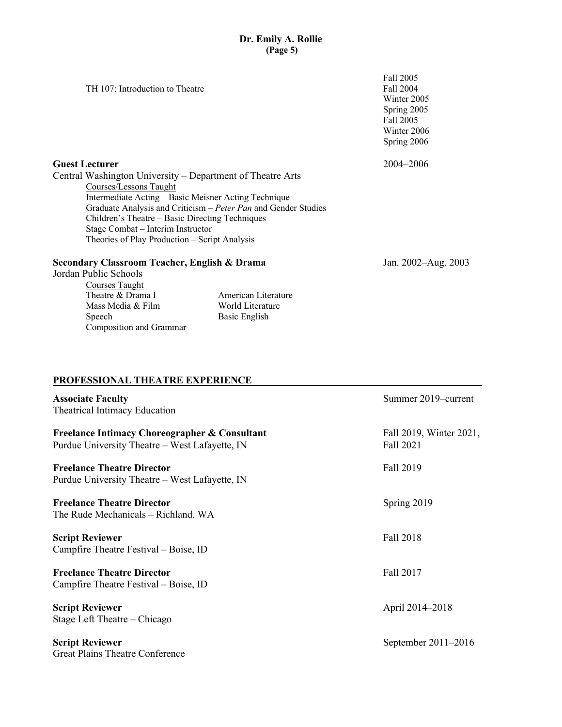|                                                                | Fall 2005           |
|----------------------------------------------------------------|---------------------|
| TH 107: Introduction to Theatre                                | Fall 2004           |
|                                                                | Winter 2005         |
|                                                                | Spring 2005         |
|                                                                | Fall 2005           |
|                                                                | Winter 2006         |
|                                                                | Spring 2006         |
| <b>Guest Lecturer</b>                                          | 2004–2006           |
| Central Washington University - Department of Theatre Arts     |                     |
| Courses/Lessons Taught                                         |                     |
| Intermediate Acting – Basic Meisner Acting Technique           |                     |
| Graduate Analysis and Criticism - Peter Pan and Gender Studies |                     |
| Children's Theatre – Basic Directing Techniques                |                     |
| Stage Combat – Interim Instructor                              |                     |
| Theories of Play Production – Script Analysis                  |                     |
| Secondary Classroom Teacher, English & Drama                   | Jan. 2002–Aug. 2003 |
| Jordan Public Schools                                          |                     |
| Courses Taught                                                 |                     |

Basic English

### **PROFESSIONAL THEATRE EXPERIENCE**

Composition and Grammar

Theatre & Drama I American Literature Mass Media & Film World Literature<br>Speech Basic English

| <b>Associate Faculty</b><br>Theatrical Intimacy Education                                                  | Summer 2019–current                  |
|------------------------------------------------------------------------------------------------------------|--------------------------------------|
| <b>Freelance Intimacy Choreographer &amp; Consultant</b><br>Purdue University Theatre – West Lafayette, IN | Fall 2019, Winter 2021,<br>Fall 2021 |
| <b>Freelance Theatre Director</b><br>Purdue University Theatre – West Lafayette, IN                        | Fall 2019                            |
| <b>Freelance Theatre Director</b><br>The Rude Mechanicals – Richland, WA                                   | Spring 2019                          |
| <b>Script Reviewer</b><br>Campfire Theatre Festival – Boise, ID                                            | Fall 2018                            |
| <b>Freelance Theatre Director</b><br>Campfire Theatre Festival – Boise, ID                                 | Fall 2017                            |
| <b>Script Reviewer</b><br>Stage Left Theatre – Chicago                                                     | April 2014-2018                      |
| <b>Script Reviewer</b><br>Great Plains Theatre Conference                                                  | September 2011-2016                  |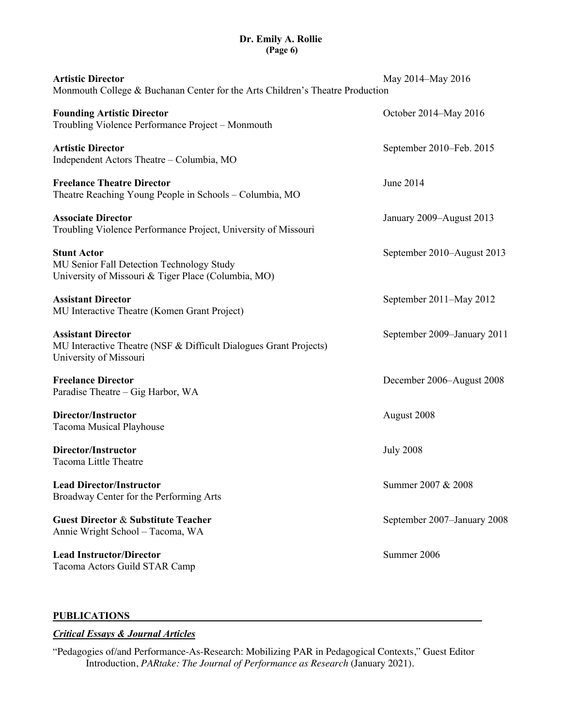# **Dr. Emily A. Rollie (Page 6)**

| <b>Artistic Director</b><br>Monmouth College & Buchanan Center for the Arts Children's Theatre Production                | May 2014-May 2016           |
|--------------------------------------------------------------------------------------------------------------------------|-----------------------------|
| <b>Founding Artistic Director</b><br>Troubling Violence Performance Project - Monmouth                                   | October 2014–May 2016       |
| <b>Artistic Director</b><br>Independent Actors Theatre - Columbia, MO                                                    | September 2010-Feb. 2015    |
| <b>Freelance Theatre Director</b><br>Theatre Reaching Young People in Schools – Columbia, MO                             | June 2014                   |
| <b>Associate Director</b><br>Troubling Violence Performance Project, University of Missouri                              | January 2009–August 2013    |
| <b>Stunt Actor</b><br>MU Senior Fall Detection Technology Study<br>University of Missouri & Tiger Place (Columbia, MO)   | September 2010–August 2013  |
| <b>Assistant Director</b><br>MU Interactive Theatre (Komen Grant Project)                                                | September 2011–May 2012     |
| <b>Assistant Director</b><br>MU Interactive Theatre (NSF & Difficult Dialogues Grant Projects)<br>University of Missouri | September 2009-January 2011 |
| <b>Freelance Director</b><br>Paradise Theatre - Gig Harbor, WA                                                           | December 2006–August 2008   |
| Director/Instructor<br>Tacoma Musical Playhouse                                                                          | August 2008                 |
| Director/Instructor<br>Tacoma Little Theatre                                                                             | <b>July 2008</b>            |
| <b>Lead Director/Instructor</b><br>Broadway Center for the Performing Arts                                               | Summer 2007 & 2008          |
| <b>Guest Director &amp; Substitute Teacher</b><br>Annie Wright School - Tacoma, WA                                       | September 2007-January 2008 |
| <b>Lead Instructor/Director</b><br>Tacoma Actors Guild STAR Camp                                                         | Summer 2006                 |

### **PUBLICATIONS**

### *Critical Essays & Journal Articles*

"Pedagogies of/and Performance-As-Research: Mobilizing PAR in Pedagogical Contexts," Guest Editor Introduction, *PARtake: The Journal of Performance as Research* (January 2021).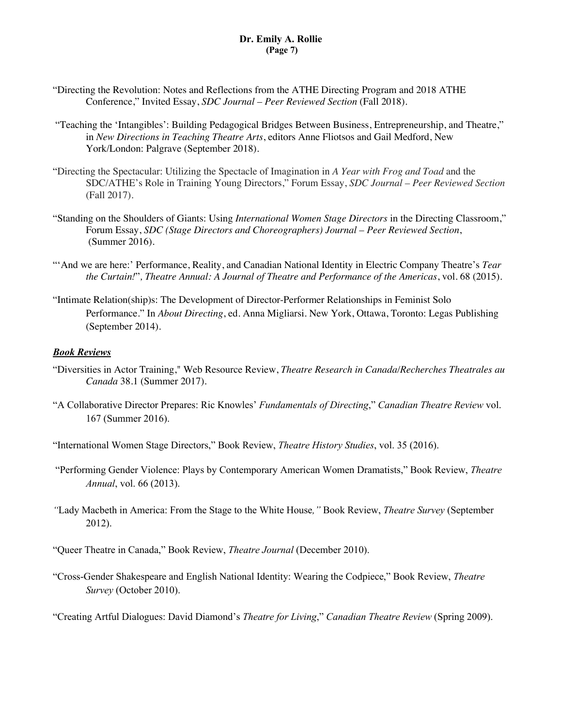- "Directing the Revolution: Notes and Reflections from the ATHE Directing Program and 2018 ATHE Conference," Invited Essay, *SDC Journal – Peer Reviewed Section* (Fall 2018).
- "Teaching the 'Intangibles': Building Pedagogical Bridges Between Business, Entrepreneurship, and Theatre," in *New Directions in Teaching Theatre Arts*, editors Anne Fliotsos and Gail Medford, New York/London: Palgrave (September 2018).
- "Directing the Spectacular: Utilizing the Spectacle of Imagination in *A Year with Frog and Toad* and the SDC/ATHE's Role in Training Young Directors," Forum Essay, *SDC Journal – Peer Reviewed Section* (Fall 2017).
- "Standing on the Shoulders of Giants: Using *International Women Stage Directors* in the Directing Classroom," Forum Essay, *SDC (Stage Directors and Choreographers) Journal – Peer Reviewed Section*, (Summer 2016).
- "'And we are here:' Performance, Reality, and Canadian National Identity in Electric Company Theatre's *Tear the Curtain!*"*, Theatre Annual: A Journal of Theatre and Performance of the Americas*, vol. 68 (2015).
- "Intimate Relation(ship)s: The Development of Director-Performer Relationships in Feminist Solo Performance." In *About Directing*, ed. Anna Migliarsi. New York, Ottawa, Toronto: Legas Publishing (September 2014).

### *Book Reviews*

- "Diversities in Actor Training," Web Resource Review, *Theatre Research in Canada/Recherches Theatrales au Canada* 38.1 (Summer 2017).
- "A Collaborative Director Prepares: Ric Knowles' *Fundamentals of Directing*," *Canadian Theatre Review* vol. 167 (Summer 2016).
- "International Women Stage Directors," Book Review, *Theatre History Studies*, vol. 35 (2016).
- "Performing Gender Violence: Plays by Contemporary American Women Dramatists," Book Review, *Theatre Annual*, vol. 66 (2013).
- *"*Lady Macbeth in America: From the Stage to the White House*,"* Book Review, *Theatre Survey* (September 2012).
- "Queer Theatre in Canada," Book Review, *Theatre Journal* (December 2010).
- "Cross-Gender Shakespeare and English National Identity: Wearing the Codpiece," Book Review, *Theatre Survey* (October 2010).
- "Creating Artful Dialogues: David Diamond's *Theatre for Living*," *Canadian Theatre Review* (Spring 2009).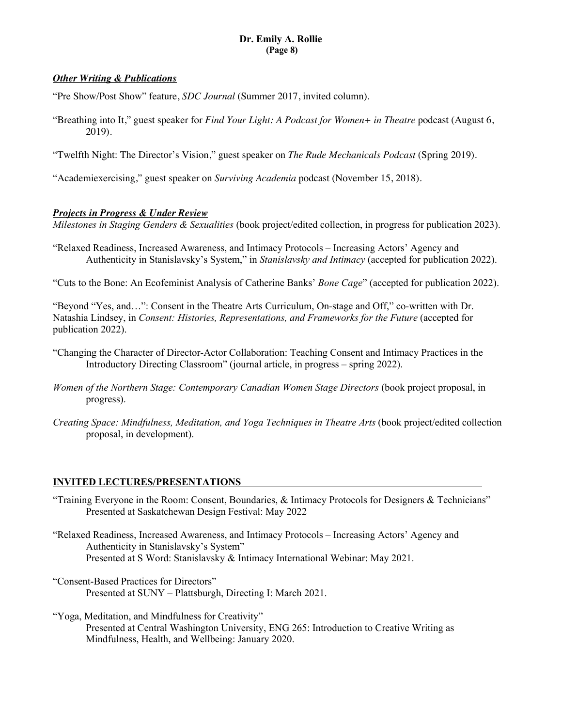## **Dr. Emily A. Rollie (Page 8)**

### *Other Writing & Publications*

"Pre Show/Post Show" feature, *SDC Journal* (Summer 2017, invited column).

"Breathing into It," guest speaker for *Find Your Light: A Podcast for Women+ in Theatre* podcast (August 6, 2019).

"Twelfth Night: The Director's Vision," guest speaker on *The Rude Mechanicals Podcast* (Spring 2019).

"Academiexercising," guest speaker on *Surviving Academia* podcast (November 15, 2018).

### *Projects in Progress & Under Review*

*Milestones in Staging Genders & Sexualities* (book project/edited collection, in progress for publication 2023).

"Relaxed Readiness, Increased Awareness, and Intimacy Protocols – Increasing Actors' Agency and Authenticity in Stanislavsky's System," in *Stanislavsky and Intimacy* (accepted for publication 2022).

"Cuts to the Bone: An Ecofeminist Analysis of Catherine Banks' *Bone Cage*" (accepted for publication 2022).

"Beyond "Yes, and…": Consent in the Theatre Arts Curriculum, On-stage and Off," co-written with Dr. Natashia Lindsey, in *Consent: Histories, Representations, and Frameworks for the Future* (accepted for publication 2022).

- "Changing the Character of Director-Actor Collaboration: Teaching Consent and Intimacy Practices in the Introductory Directing Classroom" (journal article, in progress – spring 2022).
- *Women of the Northern Stage: Contemporary Canadian Women Stage Directors* (book project proposal, in progress).
- *Creating Space: Mindfulness, Meditation, and Yoga Techniques in Theatre Arts* (book project/edited collection proposal, in development).

### **INVITED LECTURES/PRESENTATIONS**

- "Training Everyone in the Room: Consent, Boundaries, & Intimacy Protocols for Designers & Technicians" Presented at Saskatchewan Design Festival: May 2022
- "Relaxed Readiness, Increased Awareness, and Intimacy Protocols Increasing Actors' Agency and Authenticity in Stanislavsky's System" Presented at S Word: Stanislavsky & Intimacy International Webinar: May 2021.
- "Consent-Based Practices for Directors" Presented at SUNY – Plattsburgh, Directing I: March 2021.

"Yoga, Meditation, and Mindfulness for Creativity" Presented at Central Washington University, ENG 265: Introduction to Creative Writing as Mindfulness, Health, and Wellbeing: January 2020.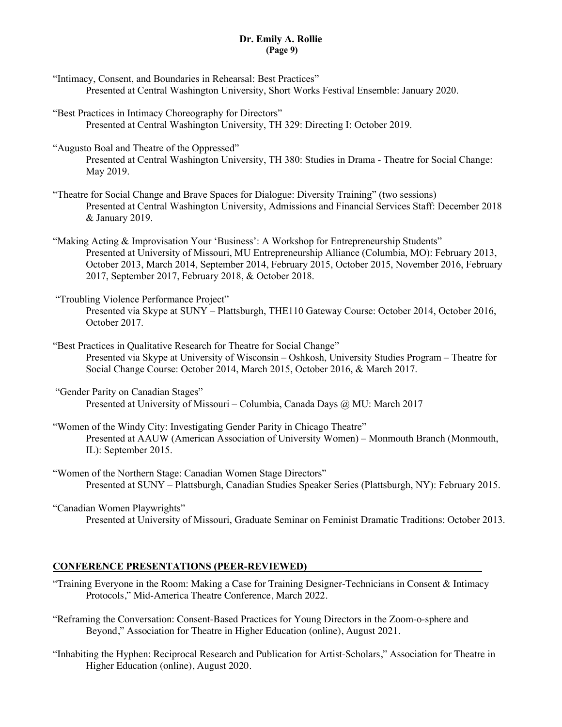## **Dr. Emily A. Rollie (Page 9)**

- "Intimacy, Consent, and Boundaries in Rehearsal: Best Practices" Presented at Central Washington University, Short Works Festival Ensemble: January 2020.
- "Best Practices in Intimacy Choreography for Directors" Presented at Central Washington University, TH 329: Directing I: October 2019.
- "Augusto Boal and Theatre of the Oppressed" Presented at Central Washington University, TH 380: Studies in Drama - Theatre for Social Change: May 2019.
- "Theatre for Social Change and Brave Spaces for Dialogue: Diversity Training" (two sessions) Presented at Central Washington University, Admissions and Financial Services Staff: December 2018 & January 2019.
- "Making Acting & Improvisation Your 'Business': A Workshop for Entrepreneurship Students" Presented at University of Missouri, MU Entrepreneurship Alliance (Columbia, MO): February 2013, October 2013, March 2014, September 2014, February 2015, October 2015, November 2016, February 2017, September 2017, February 2018, & October 2018.
- "Troubling Violence Performance Project" Presented via Skype at SUNY – Plattsburgh, THE110 Gateway Course: October 2014, October 2016, October 2017.
- "Best Practices in Qualitative Research for Theatre for Social Change" Presented via Skype at University of Wisconsin – Oshkosh, University Studies Program – Theatre for Social Change Course: October 2014, March 2015, October 2016, & March 2017.
- "Gender Parity on Canadian Stages" Presented at University of Missouri – Columbia, Canada Days @ MU: March 2017
- "Women of the Windy City: Investigating Gender Parity in Chicago Theatre" Presented at AAUW (American Association of University Women) – Monmouth Branch (Monmouth, IL): September 2015.
- "Women of the Northern Stage: Canadian Women Stage Directors" Presented at SUNY – Plattsburgh, Canadian Studies Speaker Series (Plattsburgh, NY): February 2015.
- "Canadian Women Playwrights"
	- Presented at University of Missouri, Graduate Seminar on Feminist Dramatic Traditions: October 2013.

### **CONFERENCE PRESENTATIONS (PEER-REVIEWED)**

- "Training Everyone in the Room: Making a Case for Training Designer-Technicians in Consent & Intimacy Protocols," Mid-America Theatre Conference, March 2022.
- "Reframing the Conversation: Consent-Based Practices for Young Directors in the Zoom-o-sphere and Beyond," Association for Theatre in Higher Education (online), August 2021.
- "Inhabiting the Hyphen: Reciprocal Research and Publication for Artist-Scholars," Association for Theatre in Higher Education (online), August 2020.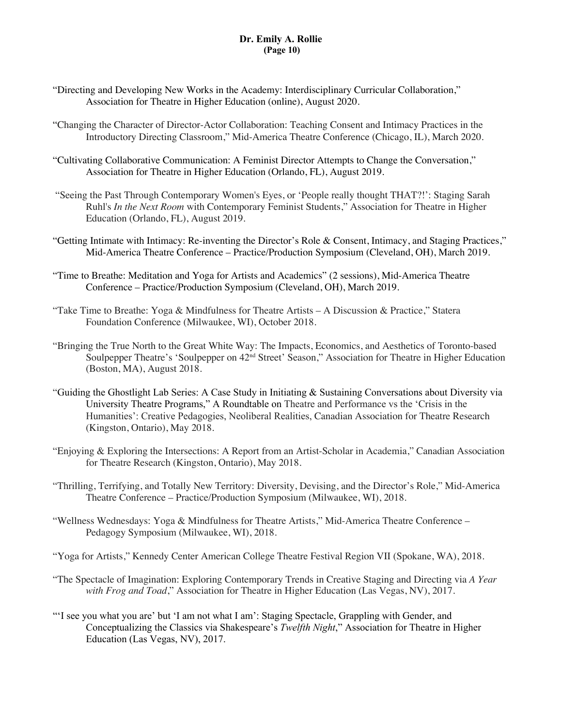## **Dr. Emily A. Rollie (Page 10)**

- "Directing and Developing New Works in the Academy: Interdisciplinary Curricular Collaboration," Association for Theatre in Higher Education (online), August 2020.
- "Changing the Character of Director-Actor Collaboration: Teaching Consent and Intimacy Practices in the Introductory Directing Classroom," Mid-America Theatre Conference (Chicago, IL), March 2020.
- "Cultivating Collaborative Communication: A Feminist Director Attempts to Change the Conversation," Association for Theatre in Higher Education (Orlando, FL), August 2019.
- "Seeing the Past Through Contemporary Women's Eyes, or 'People really thought THAT?!': Staging Sarah Ruhl's *In the Next Room* with Contemporary Feminist Students," Association for Theatre in Higher Education (Orlando, FL), August 2019.
- "Getting Intimate with Intimacy: Re-inventing the Director's Role & Consent, Intimacy, and Staging Practices," Mid-America Theatre Conference – Practice/Production Symposium (Cleveland, OH), March 2019.
- "Time to Breathe: Meditation and Yoga for Artists and Academics" (2 sessions), Mid-America Theatre Conference – Practice/Production Symposium (Cleveland, OH), March 2019.
- "Take Time to Breathe: Yoga & Mindfulness for Theatre Artists A Discussion & Practice," Statera Foundation Conference (Milwaukee, WI), October 2018.
- "Bringing the True North to the Great White Way: The Impacts, Economics, and Aesthetics of Toronto-based Soulpepper Theatre's 'Soulpepper on 42<sup>nd</sup> Street' Season," Association for Theatre in Higher Education (Boston, MA), August 2018.
- "Guiding the Ghostlight Lab Series: A Case Study in Initiating & Sustaining Conversations about Diversity via University Theatre Programs," A Roundtable on Theatre and Performance vs the 'Crisis in the Humanities': Creative Pedagogies, Neoliberal Realities, Canadian Association for Theatre Research (Kingston, Ontario), May 2018.
- "Enjoying & Exploring the Intersections: A Report from an Artist-Scholar in Academia," Canadian Association for Theatre Research (Kingston, Ontario), May 2018.
- "Thrilling, Terrifying, and Totally New Territory: Diversity, Devising, and the Director's Role," Mid-America Theatre Conference – Practice/Production Symposium (Milwaukee, WI), 2018.
- "Wellness Wednesdays: Yoga & Mindfulness for Theatre Artists," Mid-America Theatre Conference Pedagogy Symposium (Milwaukee, WI), 2018.
- "Yoga for Artists," Kennedy Center American College Theatre Festival Region VII (Spokane, WA), 2018.
- "The Spectacle of Imagination: Exploring Contemporary Trends in Creative Staging and Directing via *A Year with Frog and Toad*," Association for Theatre in Higher Education (Las Vegas, NV), 2017.
- "'I see you what you are' but 'I am not what I am': Staging Spectacle, Grappling with Gender, and Conceptualizing the Classics via Shakespeare's *Twelfth Night*," Association for Theatre in Higher Education (Las Vegas, NV), 2017.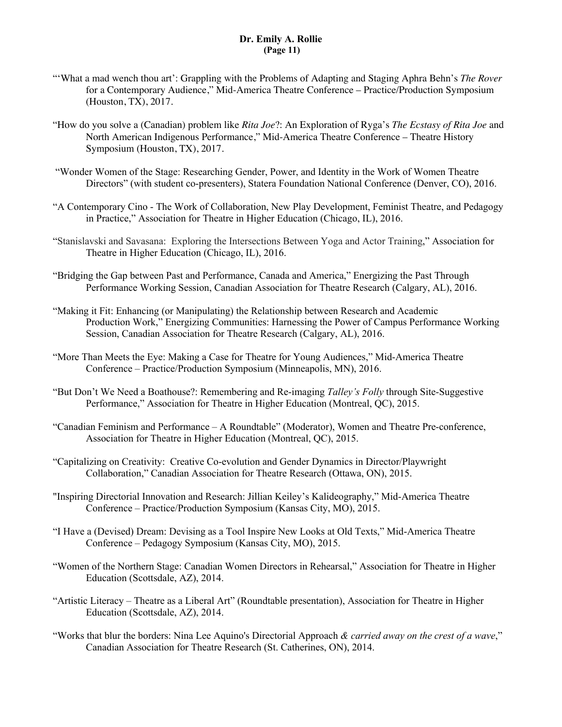## **Dr. Emily A. Rollie (Page 11)**

- "'What a mad wench thou art': Grappling with the Problems of Adapting and Staging Aphra Behn's *The Rover* for a Contemporary Audience," Mid-America Theatre Conference – Practice/Production Symposium (Houston, TX), 2017.
- "How do you solve a (Canadian) problem like *Rita Joe*?: An Exploration of Ryga's *The Ecstasy of Rita Joe* and North American Indigenous Performance," Mid-America Theatre Conference – Theatre History Symposium (Houston, TX), 2017.
- "Wonder Women of the Stage: Researching Gender, Power, and Identity in the Work of Women Theatre Directors" (with student co-presenters), Statera Foundation National Conference (Denver, CO), 2016.
- "A Contemporary Cino The Work of Collaboration, New Play Development, Feminist Theatre, and Pedagogy in Practice," Association for Theatre in Higher Education (Chicago, IL), 2016.
- "Stanislavski and Savasana: Exploring the Intersections Between Yoga and Actor Training," Association for Theatre in Higher Education (Chicago, IL), 2016.
- "Bridging the Gap between Past and Performance, Canada and America," Energizing the Past Through Performance Working Session, Canadian Association for Theatre Research (Calgary, AL), 2016.
- "Making it Fit: Enhancing (or Manipulating) the Relationship between Research and Academic Production Work," Energizing Communities: Harnessing the Power of Campus Performance Working Session, Canadian Association for Theatre Research (Calgary, AL), 2016.
- "More Than Meets the Eye: Making a Case for Theatre for Young Audiences," Mid-America Theatre Conference – Practice/Production Symposium (Minneapolis, MN), 2016.
- "But Don't We Need a Boathouse?: Remembering and Re-imaging *Talley's Folly* through Site-Suggestive Performance," Association for Theatre in Higher Education (Montreal, QC), 2015.
- "Canadian Feminism and Performance A Roundtable" (Moderator), Women and Theatre Pre-conference, Association for Theatre in Higher Education (Montreal, QC), 2015.
- "Capitalizing on Creativity: Creative Co-evolution and Gender Dynamics in Director/Playwright Collaboration," Canadian Association for Theatre Research (Ottawa, ON), 2015.
- "Inspiring Directorial Innovation and Research: Jillian Keiley's Kalideography," Mid-America Theatre Conference – Practice/Production Symposium (Kansas City, MO), 2015.
- "I Have a (Devised) Dream: Devising as a Tool Inspire New Looks at Old Texts," Mid-America Theatre Conference – Pedagogy Symposium (Kansas City, MO), 2015.
- "Women of the Northern Stage: Canadian Women Directors in Rehearsal," Association for Theatre in Higher Education (Scottsdale, AZ), 2014.
- "Artistic Literacy Theatre as a Liberal Art" (Roundtable presentation), Association for Theatre in Higher Education (Scottsdale, AZ), 2014.
- "Works that blur the borders: Nina Lee Aquino's Directorial Approach *& carried away on the crest of a wave*," Canadian Association for Theatre Research (St. Catherines, ON), 2014.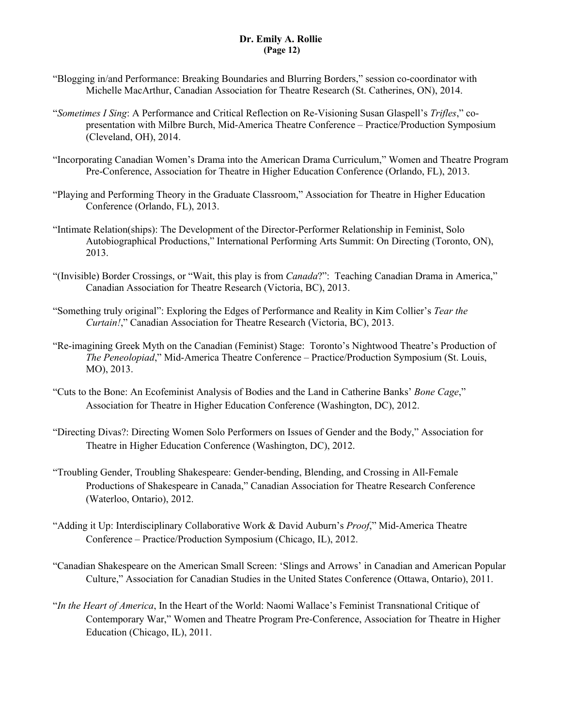## **Dr. Emily A. Rollie (Page 12)**

- "Blogging in/and Performance: Breaking Boundaries and Blurring Borders," session co-coordinator with Michelle MacArthur, Canadian Association for Theatre Research (St. Catherines, ON), 2014.
- "*Sometimes I Sing*: A Performance and Critical Reflection on Re-Visioning Susan Glaspell's *Trifles*," copresentation with Milbre Burch, Mid-America Theatre Conference – Practice/Production Symposium (Cleveland, OH), 2014.
- "Incorporating Canadian Women's Drama into the American Drama Curriculum," Women and Theatre Program Pre-Conference, Association for Theatre in Higher Education Conference (Orlando, FL), 2013.
- "Playing and Performing Theory in the Graduate Classroom," Association for Theatre in Higher Education Conference (Orlando, FL), 2013.
- "Intimate Relation(ships): The Development of the Director-Performer Relationship in Feminist, Solo Autobiographical Productions," International Performing Arts Summit: On Directing (Toronto, ON), 2013.
- "(Invisible) Border Crossings, or "Wait, this play is from *Canada*?": Teaching Canadian Drama in America," Canadian Association for Theatre Research (Victoria, BC), 2013.
- "Something truly original": Exploring the Edges of Performance and Reality in Kim Collier's *Tear the Curtain!*," Canadian Association for Theatre Research (Victoria, BC), 2013.
- "Re-imagining Greek Myth on the Canadian (Feminist) Stage: Toronto's Nightwood Theatre's Production of *The Peneolopiad*," Mid-America Theatre Conference – Practice/Production Symposium (St. Louis, MO), 2013.
- "Cuts to the Bone: An Ecofeminist Analysis of Bodies and the Land in Catherine Banks' *Bone Cage*," Association for Theatre in Higher Education Conference (Washington, DC), 2012.
- "Directing Divas?: Directing Women Solo Performers on Issues of Gender and the Body," Association for Theatre in Higher Education Conference (Washington, DC), 2012.
- "Troubling Gender, Troubling Shakespeare: Gender-bending, Blending, and Crossing in All-Female Productions of Shakespeare in Canada," Canadian Association for Theatre Research Conference (Waterloo, Ontario), 2012.
- "Adding it Up: Interdisciplinary Collaborative Work & David Auburn's *Proof*," Mid-America Theatre Conference – Practice/Production Symposium (Chicago, IL), 2012.
- "Canadian Shakespeare on the American Small Screen: 'Slings and Arrows' in Canadian and American Popular Culture," Association for Canadian Studies in the United States Conference (Ottawa, Ontario), 2011.
- "*In the Heart of America*, In the Heart of the World: Naomi Wallace's Feminist Transnational Critique of Contemporary War," Women and Theatre Program Pre-Conference, Association for Theatre in Higher Education (Chicago, IL), 2011.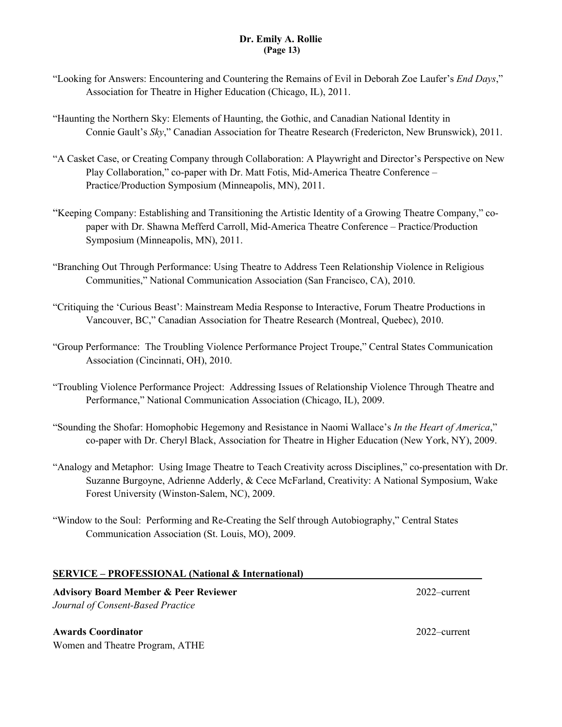# **Dr. Emily A. Rollie (Page 13)**

- "Looking for Answers: Encountering and Countering the Remains of Evil in Deborah Zoe Laufer's *End Days*," Association for Theatre in Higher Education (Chicago, IL), 2011.
- "Haunting the Northern Sky: Elements of Haunting, the Gothic, and Canadian National Identity in Connie Gault's *Sky*," Canadian Association for Theatre Research (Fredericton, New Brunswick), 2011.
- "A Casket Case, or Creating Company through Collaboration: A Playwright and Director's Perspective on New Play Collaboration," co-paper with Dr. Matt Fotis, Mid-America Theatre Conference – Practice/Production Symposium (Minneapolis, MN), 2011.
- "Keeping Company: Establishing and Transitioning the Artistic Identity of a Growing Theatre Company," copaper with Dr. Shawna Mefferd Carroll, Mid-America Theatre Conference – Practice/Production Symposium (Minneapolis, MN), 2011.
- "Branching Out Through Performance: Using Theatre to Address Teen Relationship Violence in Religious Communities," National Communication Association (San Francisco, CA), 2010.
- "Critiquing the 'Curious Beast': Mainstream Media Response to Interactive, Forum Theatre Productions in Vancouver, BC," Canadian Association for Theatre Research (Montreal, Quebec), 2010.
- "Group Performance: The Troubling Violence Performance Project Troupe," Central States Communication Association (Cincinnati, OH), 2010.
- "Troubling Violence Performance Project: Addressing Issues of Relationship Violence Through Theatre and Performance," National Communication Association (Chicago, IL), 2009.
- "Sounding the Shofar: Homophobic Hegemony and Resistance in Naomi Wallace's *In the Heart of America*," co-paper with Dr. Cheryl Black, Association for Theatre in Higher Education (New York, NY), 2009.
- "Analogy and Metaphor: Using Image Theatre to Teach Creativity across Disciplines," co-presentation with Dr. Suzanne Burgoyne, Adrienne Adderly, & Cece McFarland, Creativity: A National Symposium, Wake Forest University (Winston-Salem, NC), 2009.
- "Window to the Soul: Performing and Re-Creating the Self through Autobiography," Central States Communication Association (St. Louis, MO), 2009.

### **SERVICE – PROFESSIONAL (National & International)**

**Advisory Board Member & Peer Reviewer** 2022–current *Journal of Consent-Based Practice*

**Awards Coordinator** 2022–current Women and Theatre Program, ATHE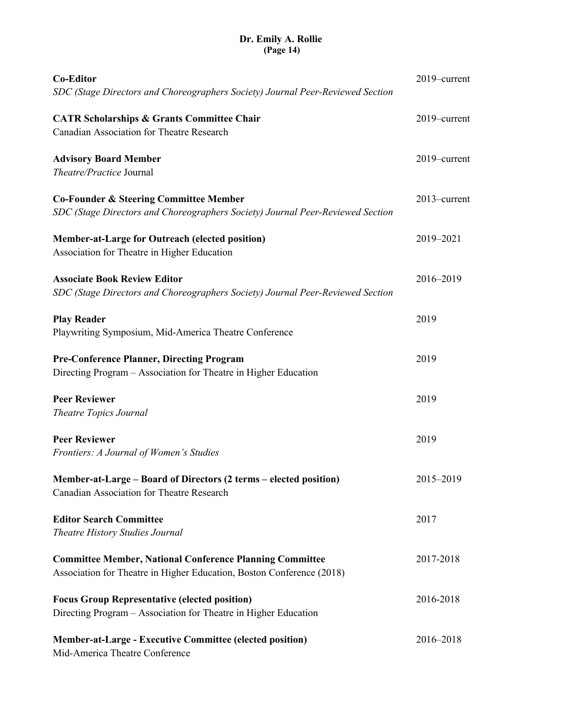## **Dr. Emily A. Rollie (Page 14)**

| <b>Co-Editor</b>                                                                                                                         | 2019–current |
|------------------------------------------------------------------------------------------------------------------------------------------|--------------|
| SDC (Stage Directors and Choreographers Society) Journal Peer-Reviewed Section                                                           |              |
| <b>CATR Scholarships &amp; Grants Committee Chair</b><br>Canadian Association for Theatre Research                                       | 2019-current |
| <b>Advisory Board Member</b><br>Theatre/Practice Journal                                                                                 | 2019-current |
| <b>Co-Founder &amp; Steering Committee Member</b><br>SDC (Stage Directors and Choreographers Society) Journal Peer-Reviewed Section      | 2013-current |
| <b>Member-at-Large for Outreach (elected position)</b><br>Association for Theatre in Higher Education                                    | 2019-2021    |
| <b>Associate Book Review Editor</b><br>SDC (Stage Directors and Choreographers Society) Journal Peer-Reviewed Section                    | 2016-2019    |
| <b>Play Reader</b><br>Playwriting Symposium, Mid-America Theatre Conference                                                              | 2019         |
| <b>Pre-Conference Planner, Directing Program</b><br>Directing Program - Association for Theatre in Higher Education                      | 2019         |
| <b>Peer Reviewer</b><br>Theatre Topics Journal                                                                                           | 2019         |
| <b>Peer Reviewer</b><br>Frontiers: A Journal of Women's Studies                                                                          | 2019         |
| Member-at-Large - Board of Directors (2 terms - elected position)<br>Canadian Association for Theatre Research                           | 2015-2019    |
| <b>Editor Search Committee</b><br><b>Theatre History Studies Journal</b>                                                                 | 2017         |
| <b>Committee Member, National Conference Planning Committee</b><br>Association for Theatre in Higher Education, Boston Conference (2018) | 2017-2018    |
| <b>Focus Group Representative (elected position)</b><br>Directing Program - Association for Theatre in Higher Education                  | 2016-2018    |
| <b>Member-at-Large - Executive Committee (elected position)</b><br>Mid-America Theatre Conference                                        | 2016-2018    |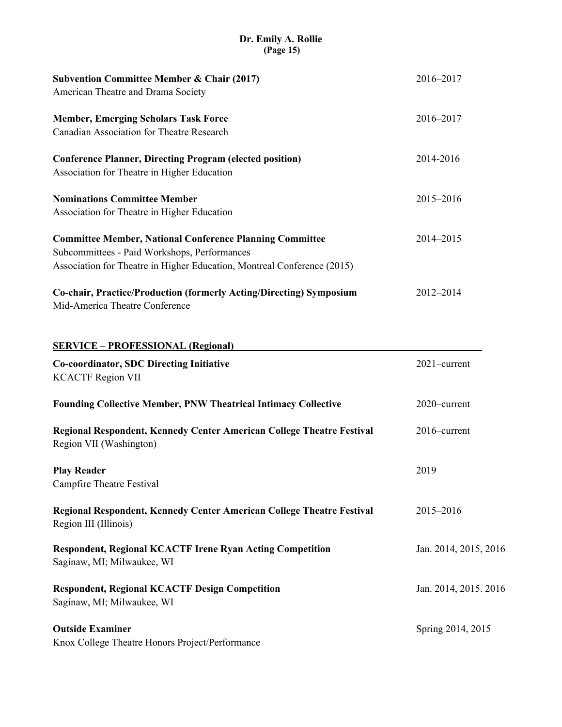# **Dr. Emily A. Rollie (Page 15)**

| <b>Subvention Committee Member &amp; Chair (2017)</b>                                                                                                                                      | 2016-2017             |
|--------------------------------------------------------------------------------------------------------------------------------------------------------------------------------------------|-----------------------|
| American Theatre and Drama Society                                                                                                                                                         |                       |
| <b>Member, Emerging Scholars Task Force</b><br>Canadian Association for Theatre Research                                                                                                   | 2016-2017             |
| <b>Conference Planner, Directing Program (elected position)</b><br>Association for Theatre in Higher Education                                                                             | 2014-2016             |
| <b>Nominations Committee Member</b><br>Association for Theatre in Higher Education                                                                                                         | 2015-2016             |
| <b>Committee Member, National Conference Planning Committee</b><br>Subcommittees - Paid Workshops, Performances<br>Association for Theatre in Higher Education, Montreal Conference (2015) | 2014-2015             |
| Co-chair, Practice/Production (formerly Acting/Directing) Symposium<br>Mid-America Theatre Conference                                                                                      | 2012-2014             |
| <b>SERVICE - PROFESSIONAL (Regional)</b>                                                                                                                                                   |                       |
| <b>Co-coordinator, SDC Directing Initiative</b><br><b>KCACTF Region VII</b>                                                                                                                | 2021-current          |
| <b>Founding Collective Member, PNW Theatrical Intimacy Collective</b>                                                                                                                      | 2020-current          |
| Regional Respondent, Kennedy Center American College Theatre Festival<br>Region VII (Washington)                                                                                           | 2016-current          |
| <b>Play Reader</b><br>Campfire Theatre Festival                                                                                                                                            | 2019                  |
| Regional Respondent, Kennedy Center American College Theatre Festival<br>Region III (Illinois)                                                                                             | 2015-2016             |
| <b>Respondent, Regional KCACTF Irene Ryan Acting Competition</b><br>Saginaw, MI; Milwaukee, WI                                                                                             | Jan. 2014, 2015, 2016 |
| <b>Respondent, Regional KCACTF Design Competition</b><br>Saginaw, MI; Milwaukee, WI                                                                                                        | Jan. 2014, 2015. 2016 |
| <b>Outside Examiner</b><br>Knox College Theatre Honors Project/Performance                                                                                                                 | Spring 2014, 2015     |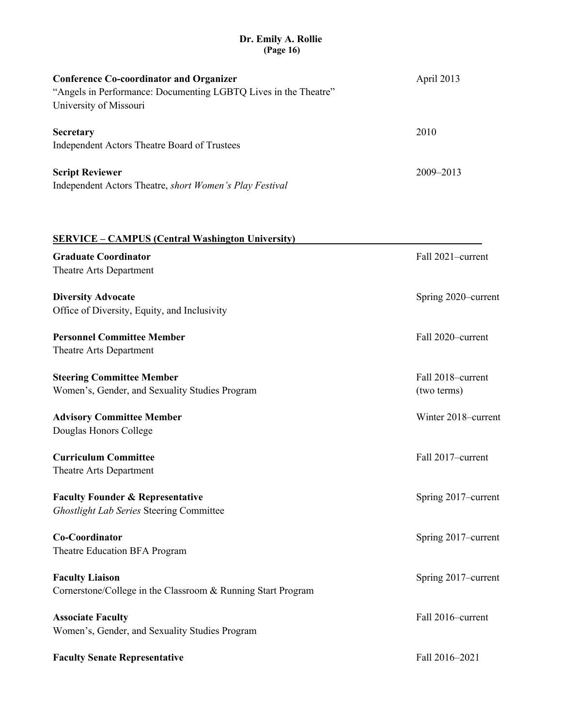## **Dr. Emily A. Rollie (Page 16)**

| <b>Conference Co-coordinator and Organizer</b><br>"Angels in Performance: Documenting LGBTQ Lives in the Theatre"<br>University of Missouri |               |
|---------------------------------------------------------------------------------------------------------------------------------------------|---------------|
| <b>Secretary</b><br>Independent Actors Theatre Board of Trustees                                                                            | 2010          |
| <b>Script Reviewer</b><br>Independent Actors Theatre, short Women's Play Festival                                                           | $2009 - 2013$ |

| <b>SERVICE – CAMPUS (Central Washington University)</b>      |                     |
|--------------------------------------------------------------|---------------------|
| <b>Graduate Coordinator</b><br>Theatre Arts Department       | Fall 2021-current   |
|                                                              |                     |
| <b>Diversity Advocate</b>                                    | Spring 2020–current |
| Office of Diversity, Equity, and Inclusivity                 |                     |
| <b>Personnel Committee Member</b>                            | Fall 2020-current   |
| Theatre Arts Department                                      |                     |
| <b>Steering Committee Member</b>                             | Fall 2018-current   |
| Women's, Gender, and Sexuality Studies Program               | (two terms)         |
| <b>Advisory Committee Member</b>                             | Winter 2018-current |
| Douglas Honors College                                       |                     |
| <b>Curriculum Committee</b>                                  | Fall 2017-current   |
| Theatre Arts Department                                      |                     |
| <b>Faculty Founder &amp; Representative</b>                  | Spring 2017-current |
| <b>Ghostlight Lab Series Steering Committee</b>              |                     |
| Co-Coordinator                                               | Spring 2017-current |
| Theatre Education BFA Program                                |                     |
| <b>Faculty Liaison</b>                                       | Spring 2017-current |
| Cornerstone/College in the Classroom & Running Start Program |                     |
| <b>Associate Faculty</b>                                     | Fall 2016-current   |
| Women's, Gender, and Sexuality Studies Program               |                     |
| <b>Faculty Senate Representative</b>                         | Fall 2016-2021      |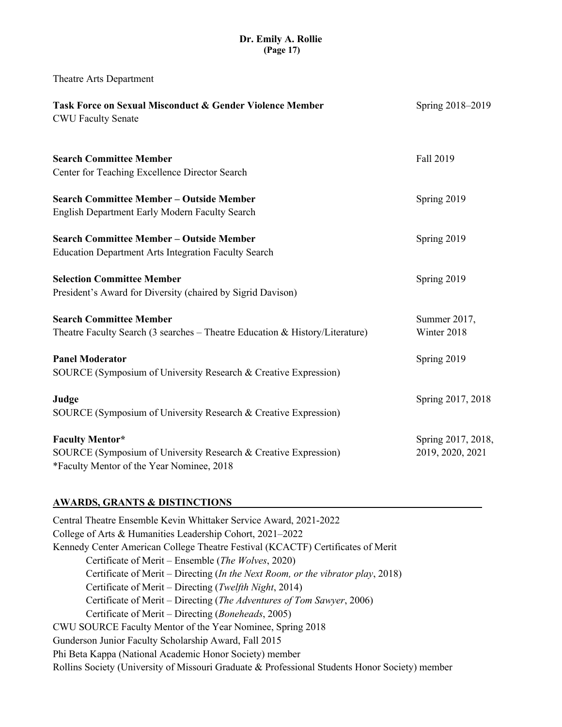# **Dr. Emily A. Rollie (Page 17)**

Theatre Arts Department

| <b>Task Force on Sexual Misconduct &amp; Gender Violence Member</b><br><b>CWU Faculty Senate</b>             | Spring 2018-2019   |
|--------------------------------------------------------------------------------------------------------------|--------------------|
| <b>Search Committee Member</b>                                                                               | Fall 2019          |
| Center for Teaching Excellence Director Search                                                               |                    |
| <b>Search Committee Member - Outside Member</b>                                                              | Spring 2019        |
| English Department Early Modern Faculty Search                                                               |                    |
| <b>Search Committee Member - Outside Member</b>                                                              | Spring 2019        |
| <b>Education Department Arts Integration Faculty Search</b>                                                  |                    |
| <b>Selection Committee Member</b>                                                                            | Spring 2019        |
| President's Award for Diversity (chaired by Sigrid Davison)                                                  |                    |
| <b>Search Committee Member</b>                                                                               | Summer 2017,       |
| Theatre Faculty Search (3 searches $-$ Theatre Education & History/Literature)                               | Winter 2018        |
| <b>Panel Moderator</b>                                                                                       | Spring 2019        |
| SOURCE (Symposium of University Research & Creative Expression)                                              |                    |
| Judge                                                                                                        | Spring 2017, 2018  |
| SOURCE (Symposium of University Research & Creative Expression)                                              |                    |
| <b>Faculty Mentor*</b>                                                                                       | Spring 2017, 2018, |
| SOURCE (Symposium of University Research & Creative Expression)<br>*Faculty Mentor of the Year Nominee, 2018 | 2019, 2020, 2021   |
|                                                                                                              |                    |

### **AWARDS, GRANTS & DISTINCTIONS**

Central Theatre Ensemble Kevin Whittaker Service Award, 2021-2022 College of Arts & Humanities Leadership Cohort, 2021–2022 Kennedy Center American College Theatre Festival (KCACTF) Certificates of Merit Certificate of Merit – Ensemble (*The Wolves*, 2020) Certificate of Merit – Directing (*In the Next Room, or the vibrator play*, 2018) Certificate of Merit – Directing (*Twelfth Night*, 2014) Certificate of Merit – Directing (*The Adventures of Tom Sawyer*, 2006) Certificate of Merit – Directing (*Boneheads*, 2005) CWU SOURCE Faculty Mentor of the Year Nominee, Spring 2018 Gunderson Junior Faculty Scholarship Award, Fall 2015 Phi Beta Kappa (National Academic Honor Society) member Rollins Society (University of Missouri Graduate & Professional Students Honor Society) member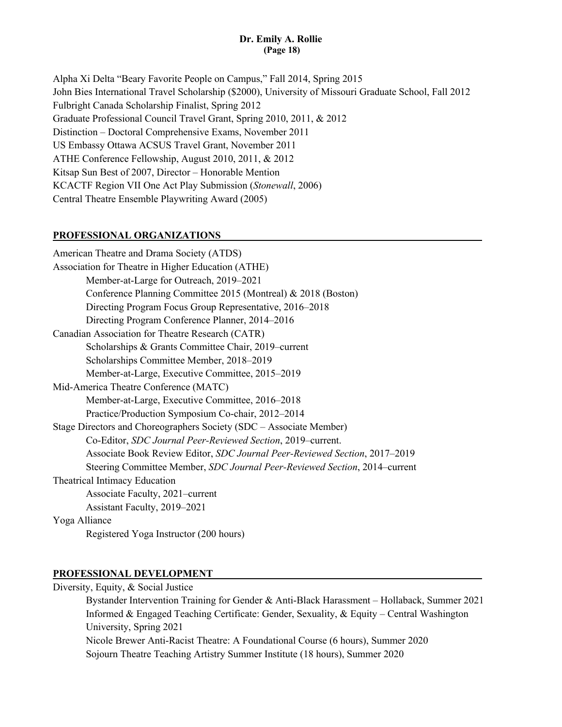## **Dr. Emily A. Rollie (Page 18)**

Alpha Xi Delta "Beary Favorite People on Campus," Fall 2014, Spring 2015 John Bies International Travel Scholarship (\$2000), University of Missouri Graduate School, Fall 2012 Fulbright Canada Scholarship Finalist, Spring 2012 Graduate Professional Council Travel Grant, Spring 2010, 2011, & 2012 Distinction – Doctoral Comprehensive Exams, November 2011 US Embassy Ottawa ACSUS Travel Grant, November 2011 ATHE Conference Fellowship, August 2010, 2011, & 2012 Kitsap Sun Best of 2007, Director – Honorable Mention KCACTF Region VII One Act Play Submission (*Stonewall*, 2006) Central Theatre Ensemble Playwriting Award (2005)

#### **PROFESSIONAL ORGANIZATIONS**

American Theatre and Drama Society (ATDS) Association for Theatre in Higher Education (ATHE) Member-at-Large for Outreach, 2019–2021 Conference Planning Committee 2015 (Montreal) & 2018 (Boston) Directing Program Focus Group Representative, 2016–2018 Directing Program Conference Planner, 2014–2016 Canadian Association for Theatre Research (CATR) Scholarships & Grants Committee Chair, 2019–current Scholarships Committee Member, 2018–2019 Member-at-Large, Executive Committee, 2015–2019 Mid-America Theatre Conference (MATC) Member-at-Large, Executive Committee, 2016–2018 Practice/Production Symposium Co-chair, 2012–2014 Stage Directors and Choreographers Society (SDC – Associate Member) Co-Editor, *SDC Journal Peer-Reviewed Section*, 2019–current. Associate Book Review Editor, *SDC Journal Peer-Reviewed Section*, 2017–2019 Steering Committee Member, *SDC Journal Peer-Reviewed Section*, 2014–current Theatrical Intimacy Education Associate Faculty, 2021–current Assistant Faculty, 2019–2021 Yoga Alliance Registered Yoga Instructor (200 hours)

#### **PROFESSIONAL DEVELOPMENT**

Diversity, Equity, & Social Justice

Bystander Intervention Training for Gender & Anti-Black Harassment – Hollaback, Summer 2021 Informed & Engaged Teaching Certificate: Gender, Sexuality, & Equity – Central Washington University, Spring 2021 Nicole Brewer Anti-Racist Theatre: A Foundational Course (6 hours), Summer 2020 Sojourn Theatre Teaching Artistry Summer Institute (18 hours), Summer 2020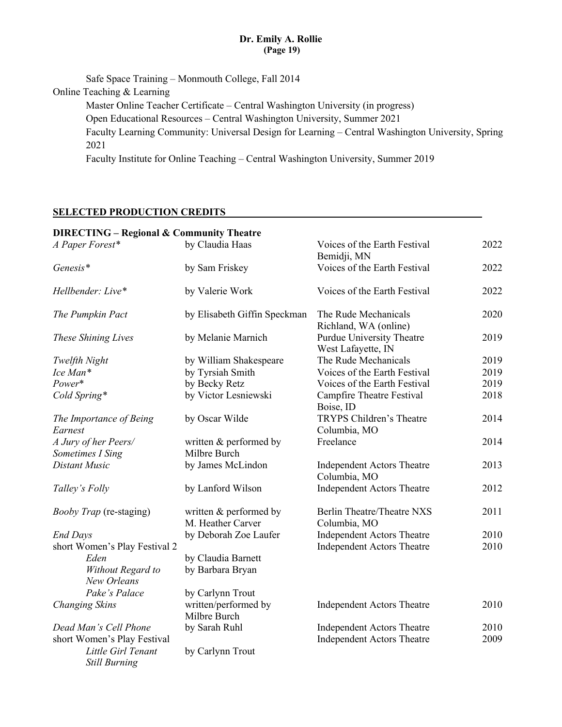## **Dr. Emily A. Rollie (Page 19)**

Safe Space Training – Monmouth College, Fall 2014 Online Teaching & Learning Master Online Teacher Certificate – Central Washington University (in progress) Open Educational Resources – Central Washington University, Summer 2021 Faculty Learning Community: Universal Design for Learning – Central Washington University, Spring 2021 Faculty Institute for Online Teaching – Central Washington University, Summer 2019

### **SELECTED PRODUCTION CREDITS**

| <b>DIRECTING - Regional &amp; Community Theatre</b> |                                             |                                                   |      |
|-----------------------------------------------------|---------------------------------------------|---------------------------------------------------|------|
| A Paper Forest*                                     | by Claudia Haas                             | Voices of the Earth Festival<br>Bemidji, MN       | 2022 |
| Genesis*                                            | by Sam Friskey                              | Voices of the Earth Festival                      | 2022 |
| Hellbender: Live*                                   | by Valerie Work                             | Voices of the Earth Festival                      | 2022 |
| The Pumpkin Pact                                    | by Elisabeth Giffin Speckman                | The Rude Mechanicals<br>Richland, WA (online)     | 2020 |
| These Shining Lives                                 | by Melanie Marnich                          | Purdue University Theatre<br>West Lafayette, IN   | 2019 |
| Twelfth Night                                       | by William Shakespeare                      | The Rude Mechanicals                              | 2019 |
| Ice Man*                                            | by Tyrsiah Smith                            | Voices of the Earth Festival                      | 2019 |
| Power*                                              | by Becky Retz                               | Voices of the Earth Festival                      | 2019 |
| Cold Spring*                                        | by Victor Lesniewski                        | <b>Campfire Theatre Festival</b><br>Boise, ID     | 2018 |
| The Importance of Being                             | by Oscar Wilde                              | TRYPS Children's Theatre                          | 2014 |
| Earnest                                             |                                             | Columbia, MO                                      |      |
| A Jury of her Peers/                                | written & performed by                      | Freelance                                         | 2014 |
| Sometimes I Sing                                    | Milbre Burch                                |                                                   |      |
| Distant Music                                       | by James McLindon                           | <b>Independent Actors Theatre</b><br>Columbia, MO | 2013 |
| Talley's Folly                                      | by Lanford Wilson                           | <b>Independent Actors Theatre</b>                 | 2012 |
| <i>Booby Trap</i> (re-staging)                      | written & performed by<br>M. Heather Carver | Berlin Theatre/Theatre NXS<br>Columbia, MO        | 2011 |
| <b>End Days</b>                                     | by Deborah Zoe Laufer                       | Independent Actors Theatre                        | 2010 |
| short Women's Play Festival 2                       |                                             | <b>Independent Actors Theatre</b>                 | 2010 |
| Eden                                                | by Claudia Barnett                          |                                                   |      |
| Without Regard to<br>New Orleans                    | by Barbara Bryan                            |                                                   |      |
| Pake's Palace                                       | by Carlynn Trout                            |                                                   |      |
| <b>Changing Skins</b>                               | written/performed by<br>Milbre Burch        | <b>Independent Actors Theatre</b>                 | 2010 |
| Dead Man's Cell Phone                               | by Sarah Ruhl                               | <b>Independent Actors Theatre</b>                 | 2010 |
| short Women's Play Festival                         |                                             | Independent Actors Theatre                        | 2009 |
| Little Girl Tenant<br><b>Still Burning</b>          | by Carlynn Trout                            |                                                   |      |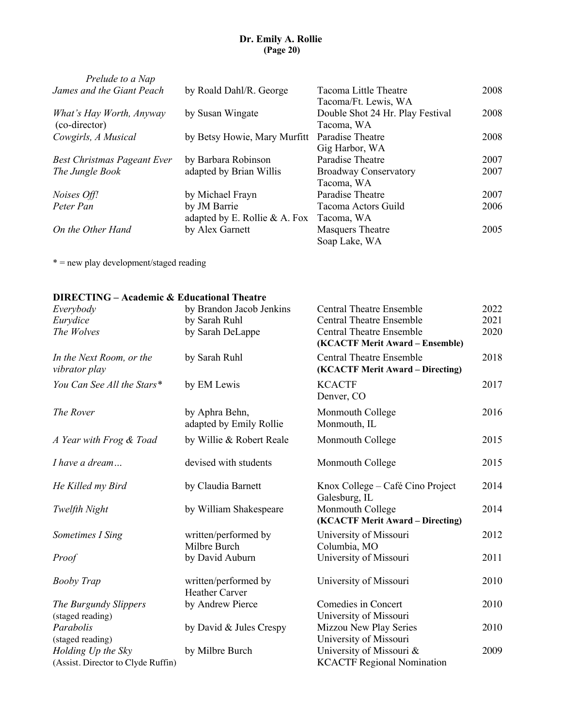## **Dr. Emily A. Rollie (Page 20)**

| Prelude to a Nap                   |                               |                                  |      |
|------------------------------------|-------------------------------|----------------------------------|------|
| James and the Giant Peach          | by Roald Dahl/R. George       | Tacoma Little Theatre            | 2008 |
|                                    |                               | Tacoma/Ft. Lewis, WA             |      |
| What's Hay Worth, Anyway           | by Susan Wingate              | Double Shot 24 Hr. Play Festival | 2008 |
| (co-director)                      |                               | Tacoma, WA                       |      |
| Cowgirls, A Musical                | by Betsy Howie, Mary Murfitt  | Paradise Theatre                 | 2008 |
|                                    |                               | Gig Harbor, WA                   |      |
| <b>Best Christmas Pageant Ever</b> | by Barbara Robinson           | Paradise Theatre                 | 2007 |
| The Jungle Book                    | adapted by Brian Willis       | <b>Broadway Conservatory</b>     | 2007 |
|                                    |                               | Tacoma, WA                       |      |
| Noises Off!                        | by Michael Frayn              | Paradise Theatre                 | 2007 |
| Peter Pan                          | by JM Barrie                  | Tacoma Actors Guild              | 2006 |
|                                    | adapted by E. Rollie & A. Fox | Tacoma, WA                       |      |
| On the Other Hand                  | by Alex Garnett               | <b>Masquers Theatre</b>          | 2005 |
|                                    |                               | Soap Lake, WA                    |      |
|                                    |                               |                                  |      |

\* = new play development/staged reading

### **DIRECTING – Academic & Educational Theatre**

| Everybody<br>Eurydice                     | by Brandon Jacob Jenkins<br>by Sarah Ruhl     | <b>Central Theatre Ensemble</b><br><b>Central Theatre Ensemble</b>  | 2022<br>2021 |
|-------------------------------------------|-----------------------------------------------|---------------------------------------------------------------------|--------------|
| The Wolves                                | by Sarah DeLappe                              | <b>Central Theatre Ensemble</b><br>(KCACTF Merit Award – Ensemble)  | 2020         |
| In the Next Room, or the<br>vibrator play | by Sarah Ruhl                                 | <b>Central Theatre Ensemble</b><br>(KCACTF Merit Award - Directing) | 2018         |
| You Can See All the Stars*                | by EM Lewis                                   | <b>KCACTF</b><br>Denver, CO                                         | 2017         |
| The Rover                                 | by Aphra Behn,<br>adapted by Emily Rollie     | Monmouth College<br>Monmouth, IL                                    | 2016         |
| A Year with Frog & Toad                   | by Willie & Robert Reale                      | Monmouth College                                                    | 2015         |
| I have a dream                            | devised with students                         | Monmouth College                                                    | 2015         |
| He Killed my Bird                         | by Claudia Barnett                            | Knox College – Café Cino Project<br>Galesburg, IL                   | 2014         |
| Twelfth Night                             | by William Shakespeare                        | Monmouth College<br>(KCACTF Merit Award - Directing)                | 2014         |
| Sometimes I Sing                          | written/performed by<br>Milbre Burch          | University of Missouri<br>Columbia, MO                              | 2012         |
| Proof                                     | by David Auburn                               | University of Missouri                                              | 2011         |
| <b>Booby Trap</b>                         | written/performed by<br><b>Heather Carver</b> | University of Missouri                                              | 2010         |
| The Burgundy Slippers                     | by Andrew Pierce                              | Comedies in Concert                                                 | 2010         |
| (staged reading)                          |                                               | University of Missouri                                              |              |
| Parabolis                                 | by David & Jules Crespy                       | Mizzou New Play Series                                              | 2010         |
| (staged reading)                          |                                               | University of Missouri                                              |              |
| Holding Up the Sky                        | by Milbre Burch                               | University of Missouri &                                            | 2009         |
| (Assist. Director to Clyde Ruffin)        |                                               | <b>KCACTF Regional Nomination</b>                                   |              |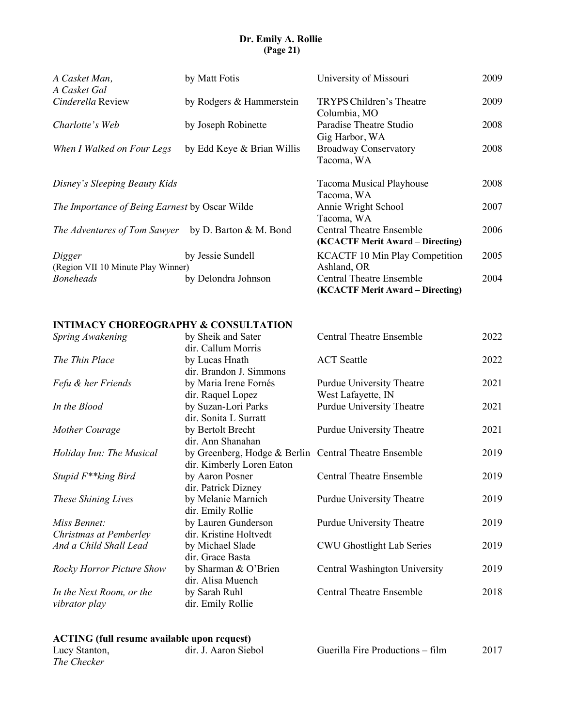## **Dr. Emily A. Rollie (Page 21)**

| A Casket Man,<br>A Casket Gal                  | by Matt Fotis              | University of Missouri                                              | 2009 |
|------------------------------------------------|----------------------------|---------------------------------------------------------------------|------|
| Cinderella Review                              | by Rodgers & Hammerstein   | TRYPS Children's Theatre<br>Columbia, MO                            | 2009 |
| Charlotte's Web                                | by Joseph Robinette        | Paradise Theatre Studio<br>Gig Harbor, WA                           | 2008 |
| When I Walked on Four Legs                     | by Edd Keye & Brian Willis | <b>Broadway Conservatory</b><br>Tacoma, WA                          | 2008 |
| Disney's Sleeping Beauty Kids                  |                            | Tacoma Musical Playhouse<br>Tacoma, WA                              | 2008 |
| The Importance of Being Earnest by Oscar Wilde |                            | Annie Wright School<br>Tacoma, WA                                   | 2007 |
| The Adventures of Tom Sawyer                   | by D. Barton & M. Bond     | <b>Central Theatre Ensemble</b><br>(KCACTF Merit Award – Directing) | 2006 |
| Digger<br>(Region VII 10 Minute Play Winner)   | by Jessie Sundell          | <b>KCACTF 10 Min Play Competition</b><br>Ashland, OR                | 2005 |
| <b>Boneheads</b>                               | by Delondra Johnson        | <b>Central Theatre Ensemble</b><br>(KCACTF Merit Award – Directing) | 2004 |

### **INTIMACY CHOREOGRAPHY & CONSULTATION**

| Spring Awakening                          | by Sheik and Sater<br>dir. Callum Morris                                   | <b>Central Theatre Ensemble</b>                 | 2022 |
|-------------------------------------------|----------------------------------------------------------------------------|-------------------------------------------------|------|
| The Thin Place                            | by Lucas Hnath                                                             | <b>ACT</b> Seattle                              | 2022 |
| Fefu & her Friends                        | dir. Brandon J. Simmons<br>by Maria Irene Fornés                           | Purdue University Theatre                       | 2021 |
| In the Blood                              | dir. Raquel Lopez<br>by Suzan-Lori Parks                                   | West Lafayette, IN<br>Purdue University Theatre | 2021 |
| Mother Courage                            | dir. Sonita L Surratt<br>by Bertolt Brecht                                 | Purdue University Theatre                       | 2021 |
| Holiday Inn: The Musical                  | dir. Ann Shanahan<br>by Greenberg, Hodge & Berlin Central Theatre Ensemble |                                                 | 2019 |
| Stupid F <sup>**</sup> king Bird          | dir. Kimberly Loren Eaton<br>by Aaron Posner                               | <b>Central Theatre Ensemble</b>                 | 2019 |
| These Shining Lives                       | dir. Patrick Dizney<br>by Melanie Marnich<br>dir. Emily Rollie             | Purdue University Theatre                       | 2019 |
| Miss Bennet:<br>Christmas at Pemberley    | by Lauren Gunderson<br>dir. Kristine Holtvedt                              | Purdue University Theatre                       | 2019 |
| And a Child Shall Lead                    | by Michael Slade<br>dir. Grace Basta                                       | CWU Ghostlight Lab Series                       | 2019 |
| <b>Rocky Horror Picture Show</b>          | by Sharman & O'Brien<br>dir. Alisa Muench                                  | Central Washington University                   | 2019 |
| In the Next Room, or the<br>vibrator play | by Sarah Ruhl<br>dir. Emily Rollie                                         | <b>Central Theatre Ensemble</b>                 | 2018 |
|                                           |                                                                            |                                                 |      |

#### **ACTING (full resume available upon request)**

| Lucy Stanton, | dir. J. Aaron Siebol | Guerilla Fire Productions – film | 2017 |
|---------------|----------------------|----------------------------------|------|
| The Checker   |                      |                                  |      |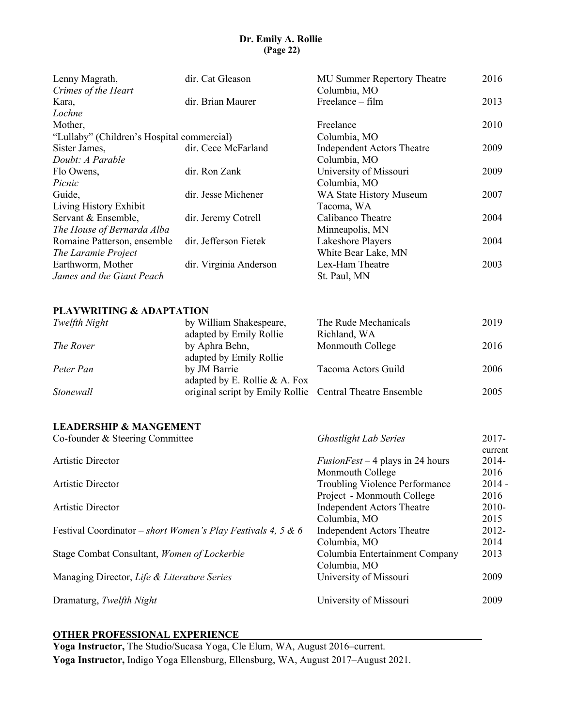# **Dr. Emily A. Rollie (Page 22)**

| Lenny Magrath,                             | dir. Cat Gleason       | MU Summer Repertory Theatre       | 2016 |
|--------------------------------------------|------------------------|-----------------------------------|------|
| Crimes of the Heart                        |                        | Columbia, MO                      |      |
| Kara,                                      | dir. Brian Maurer      | $Freelance - film$                | 2013 |
| Lochne                                     |                        |                                   |      |
| Mother,                                    |                        | Freelance                         | 2010 |
| "Lullaby" (Children's Hospital commercial) |                        | Columbia, MO                      |      |
| Sister James,                              | dir. Cece McFarland    | <b>Independent Actors Theatre</b> | 2009 |
| Doubt: A Parable                           |                        | Columbia, MO                      |      |
| Flo Owens,                                 | dir. Ron Zank          | University of Missouri            | 2009 |
| Picnic                                     |                        | Columbia, MO                      |      |
| Guide,                                     | dir. Jesse Michener    | WA State History Museum           | 2007 |
| Living History Exhibit                     |                        | Tacoma, WA                        |      |
| Servant & Ensemble,                        | dir. Jeremy Cotrell    | Calibanco Theatre                 | 2004 |
| The House of Bernarda Alba                 |                        | Minneapolis, MN                   |      |
| Romaine Patterson, ensemble                | dir. Jefferson Fietek  | Lakeshore Players                 | 2004 |
| The Laramie Project                        |                        | White Bear Lake, MN               |      |
| Earthworm, Mother                          | dir. Virginia Anderson | Lex-Ham Theatre                   | 2003 |
| James and the Giant Peach                  |                        | St. Paul, MN                      |      |

### **PLAYWRITING & ADAPTATION**

| Twelfth Night | by William Shakespeare,                                  | The Rude Mechanicals | 2019 |
|---------------|----------------------------------------------------------|----------------------|------|
|               | adapted by Emily Rollie                                  | Richland, WA         |      |
| The Rover     | by Aphra Behn,                                           | Monmouth College     | 2016 |
|               | adapted by Emily Rollie                                  |                      |      |
| Peter Pan     | by JM Barrie                                             | Tacoma Actors Guild  | 2006 |
|               | adapted by E. Rollie & A. Fox                            |                      |      |
| Stonewall     | original script by Emily Rollie Central Theatre Ensemble |                      | 2005 |

### **LEADERSHIP & MANGEMENT**

| <b>Ghostlight Lab Series</b>      | $2017 -$<br>current                     |
|-----------------------------------|-----------------------------------------|
|                                   | 2014-                                   |
| Monmouth College                  | 2016                                    |
| Troubling Violence Performance    | $2014 -$                                |
| Project - Monmouth College        | 2016                                    |
| <b>Independent Actors Theatre</b> | 2010-                                   |
| Columbia, MO                      | 2015                                    |
| <b>Independent Actors Theatre</b> | 2012-                                   |
| Columbia, MO                      | 2014                                    |
| Columbia Entertainment Company    | 2013                                    |
| Columbia, MO                      |                                         |
| University of Missouri            | 2009                                    |
| University of Missouri            | 2009                                    |
|                                   | <i>FusionFest</i> – 4 plays in 24 hours |

### **OTHER PROFESSIONAL EXPERIENCE**

**Yoga Instructor,** The Studio/Sucasa Yoga, Cle Elum, WA, August 2016–current. **Yoga Instructor,** Indigo Yoga Ellensburg, Ellensburg, WA, August 2017–August 2021.